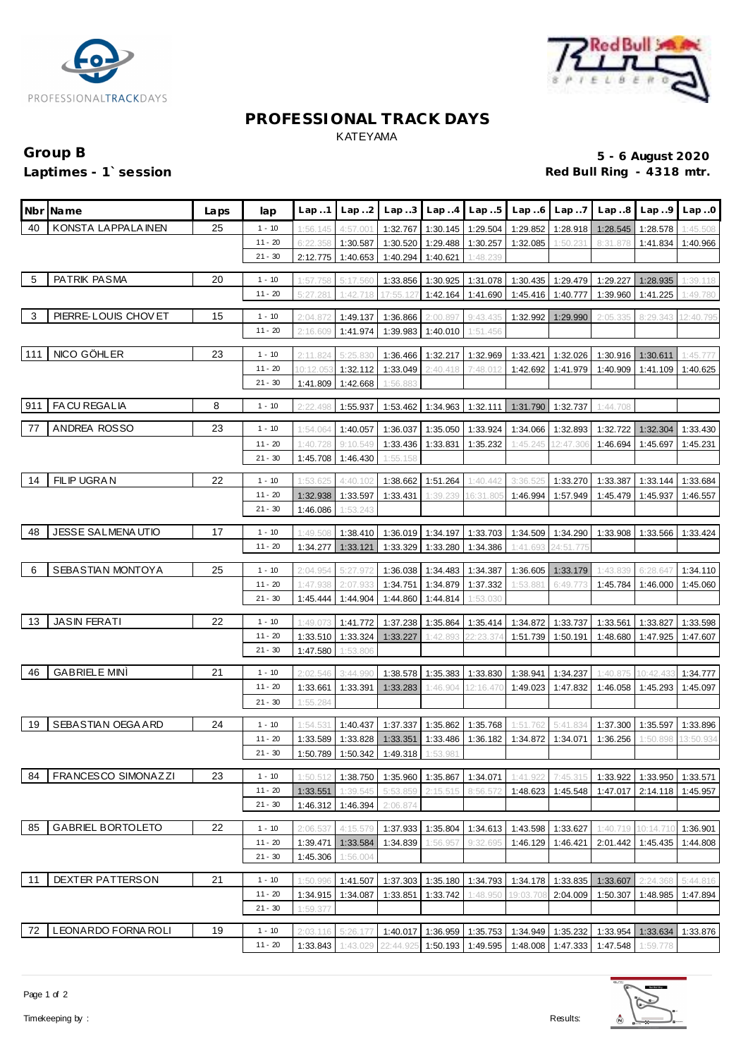



# **PROFESSIONAL TRACK DAYS** KATEYAMA

# **Group B 5 - 6 August 2020** Red Bull Ring - 4318 mtr.

|     | Nbr Name                 | Laps | lap       | Lap.1     | Lap.2    | Lap.3    |                   | $Lap.4$ $Lap.5$     |           | $Lap.6$ $Lap.7$                | Lap.8                                                                      | Lap.9             | Lap.0     |
|-----|--------------------------|------|-----------|-----------|----------|----------|-------------------|---------------------|-----------|--------------------------------|----------------------------------------------------------------------------|-------------------|-----------|
| 40  | KONSTA LAPPALA INEN      | 25   | $1 - 10$  | 1:56.145  | 4:57.001 | 1:32.767 |                   | 1:30.145 1:29.504   | 1:29.852  | 1:28.918                       | 1:28.545                                                                   | 1:28.578          | 1:45.508  |
|     |                          |      | $11 - 20$ | 6:22.358  | 1:30.587 | 1:30.520 | 1:29.488          | 1:30.257            | 1:32.085  | 1:50.231                       | 8:31.878                                                                   | 1:41.834          | 1:40.966  |
|     |                          |      | $21 - 30$ | 2:12.775  | 1:40.653 | 1:40.294 | 1:40.621          | 1:48.239            |           |                                |                                                                            |                   |           |
|     |                          |      |           |           |          |          |                   |                     |           |                                |                                                                            |                   |           |
| -5  | PATRIK PASMA             | 20   | $1 - 10$  | 1:57.758  | 5:17.560 | 1:33.856 | 1:30.925          | 1:31.078            | 1:30.435  | 1:29.479                       | 1:29.227                                                                   | 1:28.935          | 1:39.118  |
|     |                          |      | $11 - 20$ | 5:27.28'  | 1:42.718 | 17:55.12 | 1:42.164          | 1:41.690            | 1:45.416  | 1:40.777                       | 1:39.960                                                                   | 1:41.225          | 1:49.780  |
| 3   | PIERRE-LOUIS CHOVET      | 15   | $1 - 10$  | 2:04.87   | 1:49.137 | 1:36.866 | 2:00.897          | 9:43.435            | 1:32.992  | 1:29.990                       | 2:05.335                                                                   | 8:29.343          | 12:40.795 |
|     |                          |      | $11 - 20$ | 2:16.609  | 1:41.974 | 1:39.983 | 1:40.010          | 1:51.456            |           |                                |                                                                            |                   |           |
|     |                          |      |           |           |          |          |                   |                     |           |                                |                                                                            |                   |           |
| 111 | NICO GÖHLER              | 23   | $1 - 10$  | 2:11.824  | 5:25.83  | 1:36.466 |                   | 1:32.217 1:32.969   | 1:33.421  | 1:32.026                       | 1:30.916                                                                   | 1:30.611          | 1:45.77   |
|     |                          |      | $11 - 20$ | 10:12.053 | 1:32.112 | 1:33.049 | 2:40.418          | 7:48.012            | 1:42.692  |                                | 1:41.979 1:40.909                                                          | 1:41.109          | 1:40.625  |
|     |                          |      | $21 - 30$ | 1:41.809  | 1:42.668 | 1:56.88  |                   |                     |           |                                |                                                                            |                   |           |
|     |                          |      |           |           |          |          |                   |                     |           |                                |                                                                            |                   |           |
| 911 | FACU REGALIA             | 8    | $1 - 10$  | 2:22.498  | 1:55.937 | 1:53.462 |                   | 1:34.963   1:32.111 |           | 1:31.790 1:32.737              | 1:44.708                                                                   |                   |           |
| 77  | ANDREA ROSSO             | 23   | $1 - 10$  | 1:54.064  | 1:40.057 | 1:36.037 | 1:35.050          | 1:33.924            | 1:34.066  | 1:32.893                       | 1:32.722                                                                   | 1:32.304          | 1:33.430  |
|     |                          |      | $11 - 20$ |           |          |          |                   |                     |           |                                |                                                                            |                   |           |
|     |                          |      |           | 1:40.728  | 9:10.549 | 1:33.436 |                   | 1:33.831 1:35.232   | 1:45.245  | 12:47.306                      | 1:46.694                                                                   | 1:45.697          | 1:45.231  |
|     |                          |      | $21 - 30$ | 1:45.708  | 1:46.430 | 1:55.158 |                   |                     |           |                                |                                                                            |                   |           |
| 14  | <b>FILIP UGRAN</b>       | 22   | $1 - 10$  | 1:53.625  | 4:40.102 | 1:38.662 | 1:51.264          | 1:40.442            | 3:36.525  | 1:33.270                       | 1:33.387                                                                   | 1:33.144          | 1:33.684  |
|     |                          |      | $11 - 20$ | 1:32.938  | 1:33.597 | 1:33.431 | 1:39.239          | 16:31.805           | 1:46.994  | 1:57.949                       | 1:45.479                                                                   | 1:45.937          | 1:46.557  |
|     |                          |      | $21 - 30$ | 1:46.086  | 1:53.243 |          |                   |                     |           |                                |                                                                            |                   |           |
|     |                          |      |           |           |          |          |                   |                     |           |                                |                                                                            |                   |           |
| 48  | JESSE SALMENAUTIO        | 17   | $1 - 10$  | 1:49.508  | 1:38.410 | 1:36.019 | 1:34.197          | 1:33.703            | 1:34.509  | 1:34.290                       | 1:33.908                                                                   | 1:33.566          | 1:33.424  |
|     |                          |      | $11 - 20$ | 1:34.277  | 1:33.121 | 1:33.329 | 1:33.280          | 1:34.386            | 1:41.693  | 24:51.775                      |                                                                            |                   |           |
|     |                          |      |           |           |          |          |                   |                     |           |                                |                                                                            |                   |           |
| - 6 | SEBASTIAN MONTOYA        | 25   | $1 - 10$  | 2:04.954  | 5:27.972 | 1:36.038 | 1:34.483          | 1:34.387            | 1:36.605  | 1:33.179                       | 1:43.839                                                                   | 6:28.647          | 1:34.110  |
|     |                          |      | $11 - 20$ | 1:47.938  | 2:07.933 | 1:34.751 | 1:34.879          | 1:37.332            | 1:53.88'  | 6:49.773                       | 1:45.784                                                                   | 1:46.000          | 1:45.060  |
|     |                          |      | $21 - 30$ | 1:45.444  | 1:44.904 | 1:44.860 | 1:44.814          | 1:53.030            |           |                                |                                                                            |                   |           |
| 13  | <b>JASIN FERATI</b>      | 22   | $1 - 10$  | 1:49.07   | 1:41.772 | 1:37.238 | 1:35.864          | 1:35.414            | 1:34.872  | 1:33.737                       | 1:33.561                                                                   | 1:33.827          | 1:33.598  |
|     |                          |      | $11 - 20$ | 1:33.510  | 1:33.324 | 1:33.227 | 1:42.893          | 22:23.37            | 1:51.739  | 1:50.191                       | 1:48.680                                                                   | 1:47.925          | 1:47.607  |
|     |                          |      | $21 - 30$ |           |          |          |                   |                     |           |                                |                                                                            |                   |           |
|     |                          |      |           | 1:47.580  | 1:53.806 |          |                   |                     |           |                                |                                                                            |                   |           |
| -46 | <b>GABRIELE MINI</b>     | 21   | $1 - 10$  | 2:02.546  | 3:44.990 | 1:38.578 | 1:35.383          | 1:33.830            | 1:38.941  | 1:34.237                       | 1:40.875                                                                   | 10:42.43          | 1:34.777  |
|     |                          |      | $11 - 20$ | 1:33.661  | 1:33.391 | 1:33.283 | 1:46.904          | 12:16.47            | 1:49.023  | 1:47.832                       | 1:46.058                                                                   | 1:45.293          | 1:45.097  |
|     |                          |      | $21 - 30$ | 1:55.284  |          |          |                   |                     |           |                                |                                                                            |                   |           |
|     |                          |      |           |           |          |          |                   |                     |           |                                |                                                                            |                   |           |
| 19  | SEBASTIAN OEGA ARD       | 24   | $1 - 10$  | 1:54.531  | 1:40.437 | 1:37.337 | 1:35.862          | 1:35.768            | 1:51.762  | 5:41.834                       | 1:37.300                                                                   | 1:35.597          | 1:33.896  |
|     |                          |      | $11 - 20$ | 1:33.589  | 1:33.828 | 1:33.351 | 1:33.486          | 1:36.182            | 1:34.872  | 1:34.071                       | 1:36.256                                                                   | 1:50.898          | 3:50.934  |
|     |                          |      | $21 - 30$ | 1:50.789  | 1:50.342 | 1:49.318 | 1:53.981          |                     |           |                                |                                                                            |                   |           |
| 84  | FRANCESCO SIMONAZZI      | 23   |           |           |          |          |                   |                     |           |                                |                                                                            |                   |           |
|     |                          |      | $1 - 10$  | 1:50.512  | 1:38.750 | 1:35.960 |                   | 1:35.867 1:34.071   | 1:41.922  | 7:45.315                       | 1:33.922                                                                   | 1:33.950          | 1:33.571  |
|     |                          |      | $11 - 20$ | 1:33.551  | 1:39.545 | 5:53.859 | 2:15.515 8:56.572 |                     | 1:48.623  | 1:45.548                       | 1:47.017                                                                   | 2:14.118          | 1:45.957  |
|     |                          |      | $21 - 30$ | 1:46.312  | 1:46.394 | 2:06.874 |                   |                     |           |                                |                                                                            |                   |           |
| 85  | <b>GABRIEL BORTOLETO</b> | 22   | $1 - 10$  | 2:06.537  | 4:15.579 | 1:37.933 |                   | 1:35.804 1:34.613   | 1:43.598  | 1:33.627                       | 1:40.719                                                                   | 10:14.710         | 1:36.901  |
|     |                          |      | $11 - 20$ | 1:39.471  | 1:33.584 | 1:34.839 | 1:56.957          | 9:32.695            | 1:46.129  | 1:46.421                       |                                                                            | 2:01.442 1:45.435 | 1:44.808  |
|     |                          |      | $21 - 30$ | 1:45.306  | 1:56.004 |          |                   |                     |           |                                |                                                                            |                   |           |
|     |                          |      |           |           |          |          |                   |                     |           |                                |                                                                            |                   |           |
| 11  | DEXTER PATTERSON         | 21   | $1 - 10$  | 1:50.996  | 1:41.507 | 1:37.303 |                   | 1:35.180 1:34.793   |           | 1:34.178   1:33.835   1:33.607 |                                                                            | 2:24.368          | 5:44.816  |
|     |                          |      | $11 - 20$ | 1:34.915  | 1:34.087 | 1:33.851 | 1:33.742          | 1:48.950            | 19:03.708 | 2:04.009                       | 1:50.307                                                                   | 1:48.985          | 1:47.894  |
|     |                          |      | $21 - 30$ | 1:59.377  |          |          |                   |                     |           |                                |                                                                            |                   |           |
|     |                          |      |           |           |          |          |                   |                     |           |                                |                                                                            |                   |           |
| 72  | LEONARDO FORNA ROLI      | 19   | $1 - 10$  | 2:03.116  | 5:26.    |          |                   |                     |           |                                | 1:40.017   1:36.959   1:35.753   1:34.949   1:35.232   1:33.954   1:33.634 |                   | 1:33.876  |
|     |                          |      | $11 - 20$ | 1:33.843  | 1:43.029 |          |                   |                     |           |                                | 22:44.925 1:50.193 1:49.595 1:48.008 1:47.333 1:47.548 1:59.778            |                   |           |